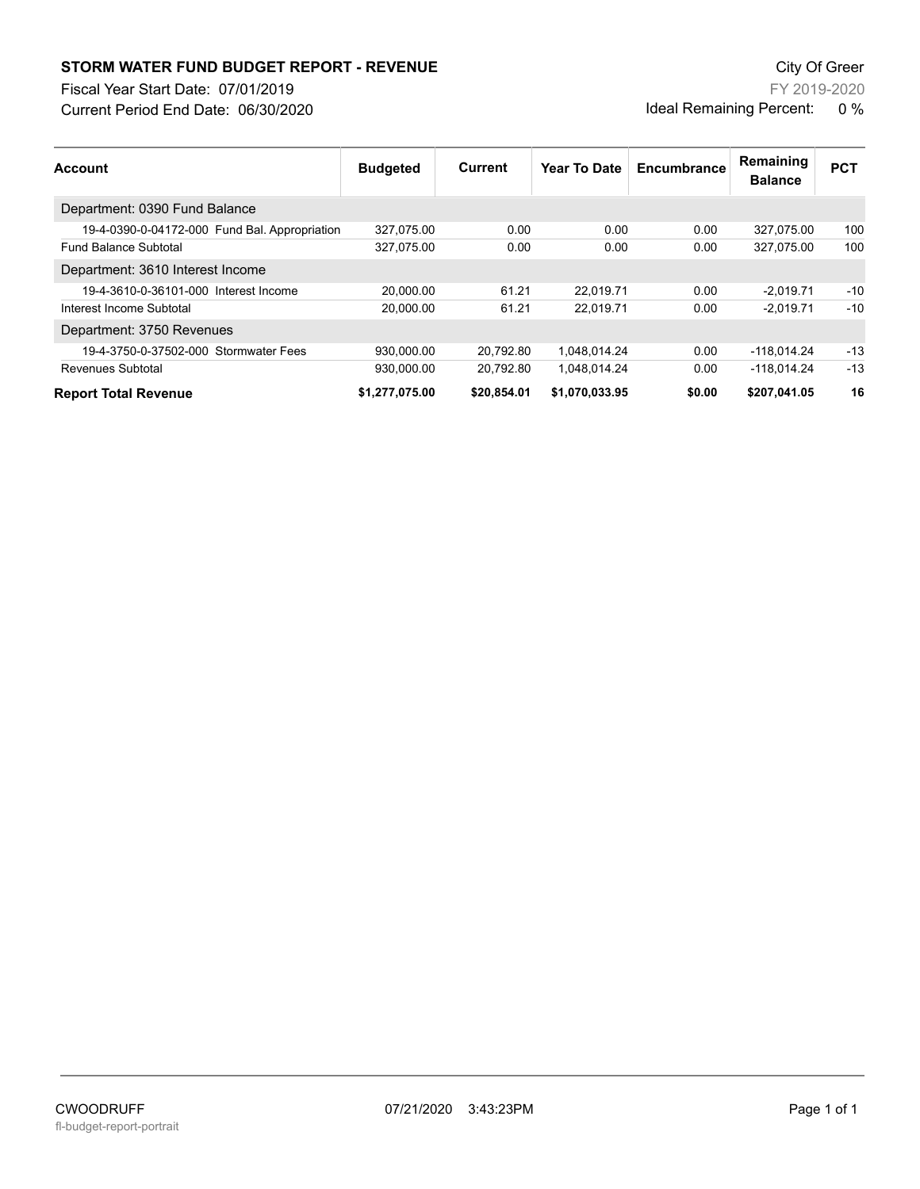## **STORM WATER FUND BUDGET REPORT - REVENUE City Of Green** City Of Green

Fiscal Year Start Date: 07/01/2019

Current Period End Date: 06/30/2020

FY 2019-2020 Ideal Remaining Percent: 0 %

| <b>Account</b>                                | <b>Budgeted</b> | Current     | Year To Date   | Encumbrance | Remaining<br><b>Balance</b> | <b>PCT</b> |
|-----------------------------------------------|-----------------|-------------|----------------|-------------|-----------------------------|------------|
| Department: 0390 Fund Balance                 |                 |             |                |             |                             |            |
| 19-4-0390-0-04172-000 Fund Bal. Appropriation | 327,075.00      | 0.00        | 0.00           | 0.00        | 327,075.00                  | 100        |
| <b>Fund Balance Subtotal</b>                  | 327,075.00      | 0.00        | 0.00           | 0.00        | 327.075.00                  | 100        |
| Department: 3610 Interest Income              |                 |             |                |             |                             |            |
| 19-4-3610-0-36101-000 Interest Income         | 20.000.00       | 61.21       | 22.019.71      | 0.00        | $-2.019.71$                 | $-10$      |
| Interest Income Subtotal                      | 20,000.00       | 61.21       | 22,019.71      | 0.00        | $-2.019.71$                 | $-10$      |
| Department: 3750 Revenues                     |                 |             |                |             |                             |            |
| 19-4-3750-0-37502-000 Stormwater Fees         | 930,000.00      | 20.792.80   | 1.048.014.24   | 0.00        | $-118.014.24$               | $-13$      |
| Revenues Subtotal                             | 930.000.00      | 20.792.80   | 1.048.014.24   | 0.00        | $-118.014.24$               | $-13$      |
| <b>Report Total Revenue</b>                   | \$1,277,075.00  | \$20,854.01 | \$1,070,033.95 | \$0.00      | \$207,041.05                | 16         |